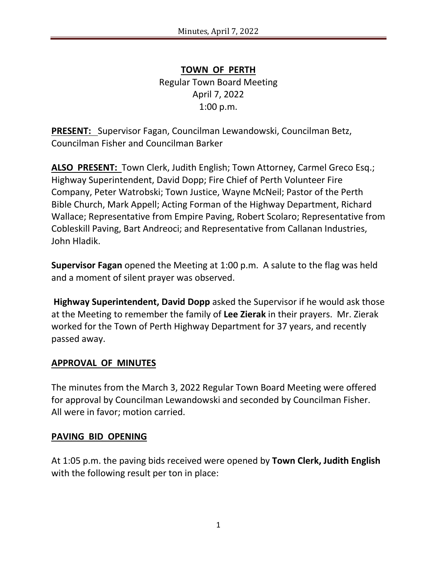**TOWN OF PERTH** Regular Town Board Meeting April 7, 2022 1:00 p.m.

**PRESENT:** Supervisor Fagan, Councilman Lewandowski, Councilman Betz, Councilman Fisher and Councilman Barker

**ALSO PRESENT:** Town Clerk, Judith English; Town Attorney, Carmel Greco Esq.; Highway Superintendent, David Dopp; Fire Chief of Perth Volunteer Fire Company, Peter Watrobski; Town Justice, Wayne McNeil; Pastor of the Perth Bible Church, Mark Appell; Acting Forman of the Highway Department, Richard Wallace; Representative from Empire Paving, Robert Scolaro; Representative from Cobleskill Paving, Bart Andreoci; and Representative from Callanan Industries, John Hladik.

**Supervisor Fagan** opened the Meeting at 1:00 p.m. A salute to the flag was held and a moment of silent prayer was observed.

**Highway Superintendent, David Dopp** asked the Supervisor if he would ask those at the Meeting to remember the family of **Lee Zierak** in their prayers. Mr. Zierak worked for the Town of Perth Highway Department for 37 years, and recently passed away.

#### **APPROVAL OF MINUTES**

The minutes from the March 3, 2022 Regular Town Board Meeting were offered for approval by Councilman Lewandowski and seconded by Councilman Fisher. All were in favor; motion carried.

#### **PAVING BID OPENING**

At 1:05 p.m. the paving bids received were opened by **Town Clerk, Judith English** with the following result per ton in place: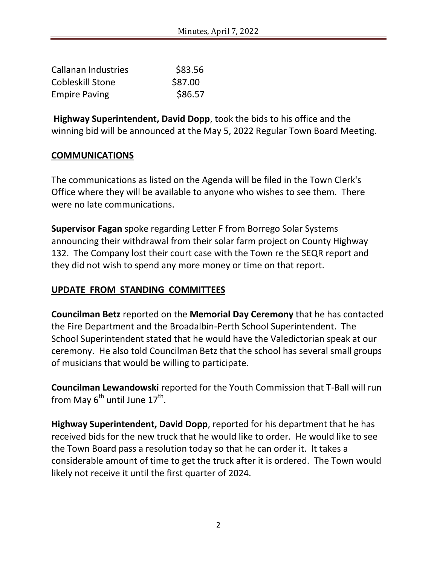| <b>Callanan Industries</b> | \$83.56 |
|----------------------------|---------|
| <b>Cobleskill Stone</b>    | \$87.00 |
| <b>Empire Paving</b>       | \$86.57 |

**Highway Superintendent, David Dopp**, took the bids to his office and the winning bid will be announced at the May 5, 2022 Regular Town Board Meeting.

### **COMMUNICATIONS**

The communications as listed on the Agenda will be filed in the Town Clerk's Office where they will be available to anyone who wishes to see them. There were no late communications.

**Supervisor Fagan** spoke regarding Letter F from Borrego Solar Systems announcing their withdrawal from their solar farm project on County Highway 132. The Company lost their court case with the Town re the SEQR report and they did not wish to spend any more money or time on that report.

## **UPDATE FROM STANDING COMMITTEES**

**Councilman Betz** reported on the **Memorial Day Ceremony** that he has contacted the Fire Department and the Broadalbin-Perth School Superintendent. The School Superintendent stated that he would have the Valedictorian speak at our ceremony. He also told Councilman Betz that the school has several small groups of musicians that would be willing to participate.

**Councilman Lewandowski** reported for the Youth Commission that T-Ball will run from May  $6^{\text{th}}$  until June  $17^{\text{th}}$ .

**Highway Superintendent, David Dopp**, reported for his department that he has received bids for the new truck that he would like to order. He would like to see the Town Board pass a resolution today so that he can order it. It takes a considerable amount of time to get the truck after it is ordered. The Town would likely not receive it until the first quarter of 2024.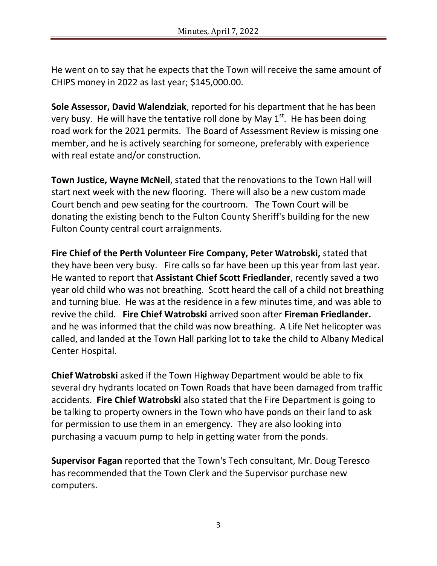He went on to say that he expects that the Town will receive the same amount of CHIPS money in 2022 as last year; \$145,000.00.

**Sole Assessor, David Walendziak**, reported for his department that he has been very busy. He will have the tentative roll done by May  $1<sup>st</sup>$ . He has been doing road work for the 2021 permits. The Board of Assessment Review is missing one member, and he is actively searching for someone, preferably with experience with real estate and/or construction.

**Town Justice, Wayne McNeil**, stated that the renovations to the Town Hall will start next week with the new flooring. There will also be a new custom made Court bench and pew seating for the courtroom. The Town Court will be donating the existing bench to the Fulton County Sheriff's building for the new Fulton County central court arraignments.

**Fire Chief of the Perth Volunteer Fire Company, Peter Watrobski,** stated that they have been very busy. Fire calls so far have been up this year from last year. He wanted to report that **Assistant Chief Scott Friedlander**, recently saved a two year old child who was not breathing. Scott heard the call of a child not breathing and turning blue. He was at the residence in a few minutes time, and was able to revive the child. **Fire Chief Watrobski** arrived soon after **Fireman Friedlander.** and he was informed that the child was now breathing. A Life Net helicopter was called, and landed at the Town Hall parking lot to take the child to Albany Medical Center Hospital.

**Chief Watrobski** asked if the Town Highway Department would be able to fix several dry hydrants located on Town Roads that have been damaged from traffic accidents. **Fire Chief Watrobski** also stated that the Fire Department is going to be talking to property owners in the Town who have ponds on their land to ask for permission to use them in an emergency. They are also looking into purchasing a vacuum pump to help in getting water from the ponds.

**Supervisor Fagan** reported that the Town's Tech consultant, Mr. Doug Teresco has recommended that the Town Clerk and the Supervisor purchase new computers.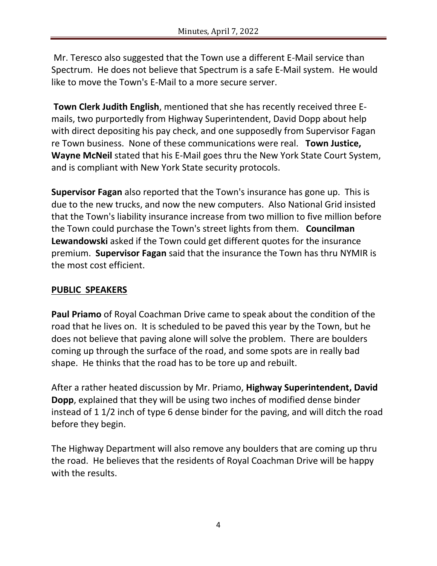Mr. Teresco also suggested that the Town use a different E-Mail service than Spectrum. He does not believe that Spectrum is a safe E-Mail system. He would like to move the Town's E-Mail to a more secure server.

**Town Clerk Judith English**, mentioned that she has recently received three Emails, two purportedly from Highway Superintendent, David Dopp about help with direct depositing his pay check, and one supposedly from Supervisor Fagan re Town business. None of these communications were real. **Town Justice, Wayne McNeil** stated that his E-Mail goes thru the New York State Court System, and is compliant with New York State security protocols.

**Supervisor Fagan** also reported that the Town's insurance has gone up. This is due to the new trucks, and now the new computers. Also National Grid insisted that the Town's liability insurance increase from two million to five million before the Town could purchase the Town's street lights from them. **Councilman Lewandowski** asked if the Town could get different quotes for the insurance premium. **Supervisor Fagan** said that the insurance the Town has thru NYMIR is the most cost efficient.

# **PUBLIC SPEAKERS**

**Paul Priamo** of Royal Coachman Drive came to speak about the condition of the road that he lives on. It is scheduled to be paved this year by the Town, but he does not believe that paving alone will solve the problem. There are boulders coming up through the surface of the road, and some spots are in really bad shape. He thinks that the road has to be tore up and rebuilt.

After a rather heated discussion by Mr. Priamo, **Highway Superintendent, David Dopp**, explained that they will be using two inches of modified dense binder instead of 1 1/2 inch of type 6 dense binder for the paving, and will ditch the road before they begin.

The Highway Department will also remove any boulders that are coming up thru the road. He believes that the residents of Royal Coachman Drive will be happy with the results.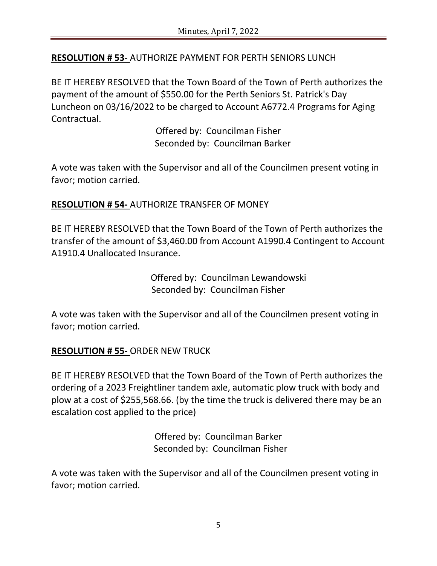# **RESOLUTION # 53-** AUTHORIZE PAYMENT FOR PERTH SENIORS LUNCH

BE IT HEREBY RESOLVED that the Town Board of the Town of Perth authorizes the payment of the amount of \$550.00 for the Perth Seniors St. Patrick's Day Luncheon on 03/16/2022 to be charged to Account A6772.4 Programs for Aging Contractual.

> Offered by: Councilman Fisher Seconded by: Councilman Barker

A vote was taken with the Supervisor and all of the Councilmen present voting in favor; motion carried.

### **RESOLUTION # 54-** AUTHORIZE TRANSFER OF MONEY

BE IT HEREBY RESOLVED that the Town Board of the Town of Perth authorizes the transfer of the amount of \$3,460.00 from Account A1990.4 Contingent to Account A1910.4 Unallocated Insurance.

> Offered by: Councilman Lewandowski Seconded by: Councilman Fisher

A vote was taken with the Supervisor and all of the Councilmen present voting in favor; motion carried.

#### **RESOLUTION # 55-** ORDER NEW TRUCK

BE IT HEREBY RESOLVED that the Town Board of the Town of Perth authorizes the ordering of a 2023 Freightliner tandem axle, automatic plow truck with body and plow at a cost of \$255,568.66. (by the time the truck is delivered there may be an escalation cost applied to the price)

> Offered by: Councilman Barker Seconded by: Councilman Fisher

A vote was taken with the Supervisor and all of the Councilmen present voting in favor; motion carried.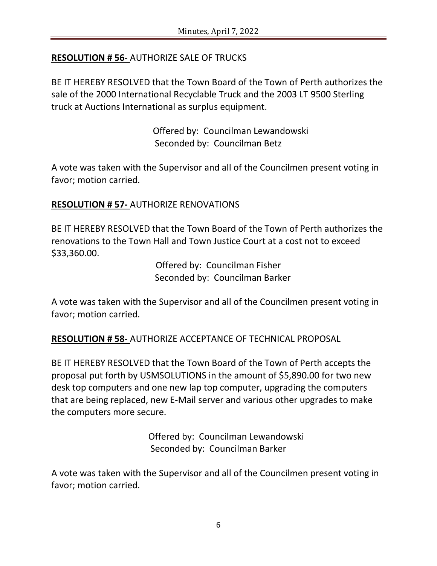# **RESOLUTION # 56-** AUTHORIZE SALE OF TRUCKS

BE IT HEREBY RESOLVED that the Town Board of the Town of Perth authorizes the sale of the 2000 International Recyclable Truck and the 2003 LT 9500 Sterling truck at Auctions International as surplus equipment.

> Offered by: Councilman Lewandowski Seconded by: Councilman Betz

A vote was taken with the Supervisor and all of the Councilmen present voting in favor; motion carried.

### **RESOLUTION # 57-** AUTHORIZE RENOVATIONS

BE IT HEREBY RESOLVED that the Town Board of the Town of Perth authorizes the renovations to the Town Hall and Town Justice Court at a cost not to exceed \$33,360.00.

> Offered by: Councilman Fisher Seconded by: Councilman Barker

A vote was taken with the Supervisor and all of the Councilmen present voting in favor; motion carried.

**RESOLUTION # 58-** AUTHORIZE ACCEPTANCE OF TECHNICAL PROPOSAL

BE IT HEREBY RESOLVED that the Town Board of the Town of Perth accepts the proposal put forth by USMSOLUTIONS in the amount of \$5,890.00 for two new desk top computers and one new lap top computer, upgrading the computers that are being replaced, new E-Mail server and various other upgrades to make the computers more secure.

> Offered by: Councilman Lewandowski Seconded by: Councilman Barker

A vote was taken with the Supervisor and all of the Councilmen present voting in favor; motion carried.